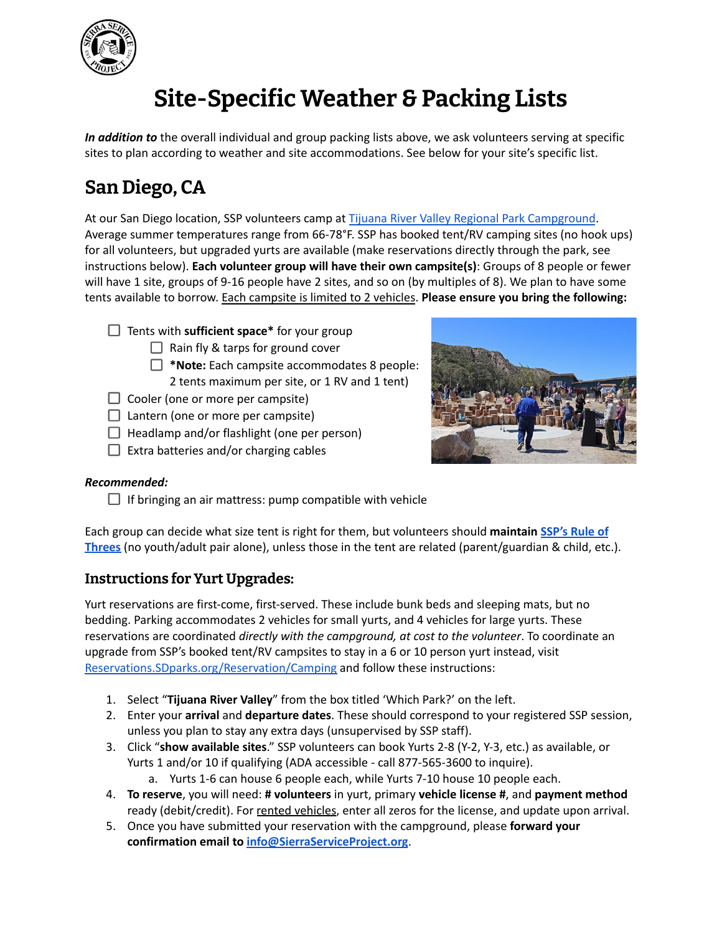

# **Site-Specific Weather & Packing Lists**

*In addition to* the overall individual and group packing lists above, we ask volunteers serving at specific sites to plan according to weather and site accommodations. See below for your site's specific list.

### **San Diego, CA**

At our San Diego location, SSP volunteers camp at Tijuana River Valley Regional Park [Campground](https://www.sdparks.org/content/sdparks/en/park-pages/TijuanaRiverValleyRegionalParkCampground.html). Average summer temperatures range from 66-78°F. SSP has booked tent/RV camping sites (no hook ups) for all volunteers, but upgraded yurts are available (make reservations directly through the park, see instructions below). **Each volunteer group will have their own campsite(s)**: Groups of 8 people or fewer will have 1 site, groups of 9-16 people have 2 sites, and so on (by multiples of 8). We plan to have some tents available to borrow. Each campsite is limited to 2 vehicles. **Please ensure you bring the following:**

- Tents with **sufficient space\*** for your group
	- $\Box$  Rain fly & tarps for ground cover
	- **\*Note:** Each campsite accommodates 8 people: 2 tents maximum per site, or 1 RV and 1 tent)
- $\Box$  Cooler (one or more per campsite)
- $\Box$  Lantern (one or more per campsite)
- $\Box$  Headlamp and/or flashlight (one per person)
- $\Box$  Extra batteries and/or charging cables



#### *Recommended:*

 $\Box$  If bringing an air mattress: pump compatible with vehicle

Each group can decide what size tent is right for them, but volunteers should **maintain [SSP's](https://www.sierraserviceproject.org/wp-content/uploads/2020/05/SSPs-Safe-Community-Policy.pdf) Rule of [Threes](https://www.sierraserviceproject.org/wp-content/uploads/2020/05/SSPs-Safe-Community-Policy.pdf)** (no youth/adult pair alone), unless those in the tent are related (parent/guardian & child, etc.).

### **Instructions for Yurt Upgrades:**

Yurt reservations are first-come, first-served. These include bunk beds and sleeping mats, but no bedding. Parking accommodates 2 vehicles for small yurts, and 4 vehicles for large yurts. These reservations are coordinated *directly with the campground, at cost to the volunteer*. To coordinate an upgrade from SSP's booked tent/RV campsites to stay in a 6 or 10 person yurt instead, visit [Reservations.SDparks.org/Reservation/Camping](https://reservations.sdparks.org/reservation/camping/) and follow these instructions:

- 1. Select "**Tijuana River Valley**" from the box titled 'Which Park?' on the left.
- 2. Enter your **arrival** and **departure dates**. These should correspond to your registered SSP session, unless you plan to stay any extra days (unsupervised by SSP staff).
- 3. Click "**show available sites**." SSP volunteers can book Yurts 2-8 (Y-2, Y-3, etc.) as available, or Yurts 1 and/or 10 if qualifying (ADA accessible - call 877-565-3600 to inquire).
	- a. Yurts 1-6 can house 6 people each, while Yurts 7-10 house 10 people each.
- 4. **To reserve**, you will need: **# volunteers** in yurt, primary **vehicle license #**, and **payment method** ready (debit/credit). For rented vehicles, enter all zeros for the license, and update upon arrival.
- 5. Once you have submitted your reservation with the campground, please **forward your confirmation email to [info@SierraServiceProject.org](mailto:info@SierraServiceProject.org)**.